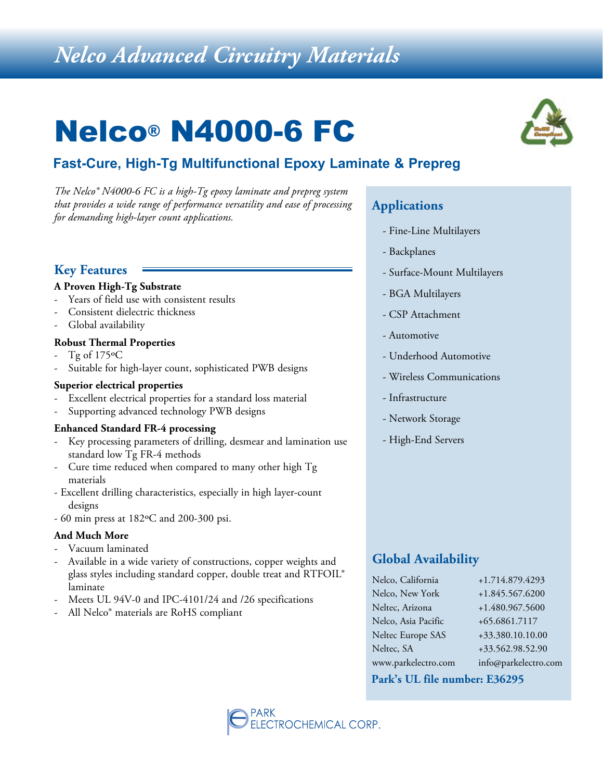# *Nelco Advanced Circuitry Materials*

# Nelco® N4000-6 FC

# **Fast-Cure, High-Tg Multifunctional Epoxy Laminate & Prepreg**

*The Nelco® N4000-6 FC is a high-Tg epoxy laminate and prepreg system that provides a wide range of performance versatility and ease of processing for demanding high-layer count applications.*

## **Key Features**

#### **A Proven High-Tg Substrate**

- Years of field use with consistent results
- Consistent dielectric thickness
- Global availability

#### **Robust Thermal Properties**

- Tg of  $175\textdegree C$
- Suitable for high-layer count, sophisticated PWB designs

#### **Superior electrical properties**

- Excellent electrical properties for a standard loss material
- Supporting advanced technology PWB designs

#### **Enhanced Standard FR-4 processing**

- Key processing parameters of drilling, desmear and lamination use standard low Tg FR-4 methods
- Cure time reduced when compared to many other high Tg materials
- Excellent drilling characteristics, especially in high layer-count designs
- 60 min press at 182ºC and 200-300 psi.

#### **And Much More**

- Vacuum laminated
- Available in a wide variety of constructions, copper weights and glass styles including standard copper, double treat and RTFOIL® laminate
- Meets UL 94V-0 and IPC-4101/24 and /26 specifications
- All Nelco<sup>®</sup> materials are RoHS compliant

## **Applications**

- Fine-Line Multilayers
- Backplanes
- Surface-Mount Multilayers
- BGA Multilayers
- CSP Attachment
- Automotive
- Underhood Automotive
- Wireless Communications
- Infrastructure
- Network Storage
- High-End Servers

## **Global Availability**

| Nelco, California   | +1.714.879.4293      |
|---------------------|----------------------|
| Nelco, New York     | +1.845.567.6200      |
| Neltec, Arizona     | +1.480.967.5600      |
| Nelco, Asia Pacific | +65.6861.7117        |
| Neltec Europe SAS   | +33.380.10.10.00     |
| Neltec, SA          | +33.562.98.52.90     |
| www.parkelectro.com | info@parkelectro.com |

#### **Park's UL file number: E36295**